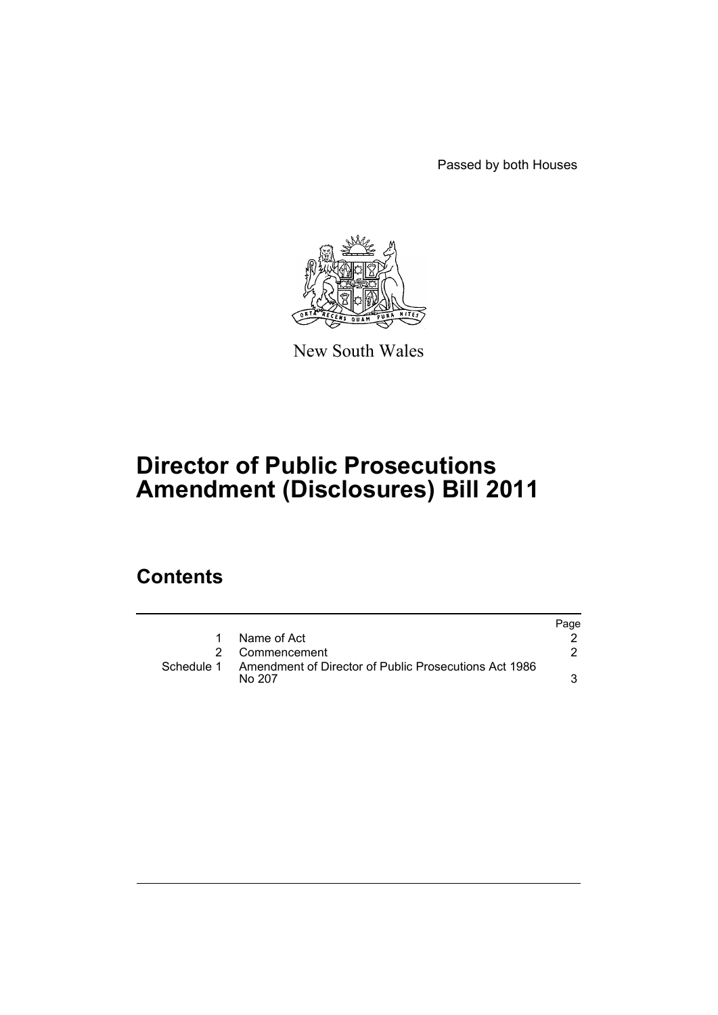Passed by both Houses



New South Wales

# **Director of Public Prosecutions Amendment (Disclosures) Bill 2011**

## **Contents**

|            |                                                                 | Page |
|------------|-----------------------------------------------------------------|------|
|            | Name of Act                                                     |      |
| 2          | Commencement                                                    |      |
| Schedule 1 | Amendment of Director of Public Prosecutions Act 1986<br>No 207 |      |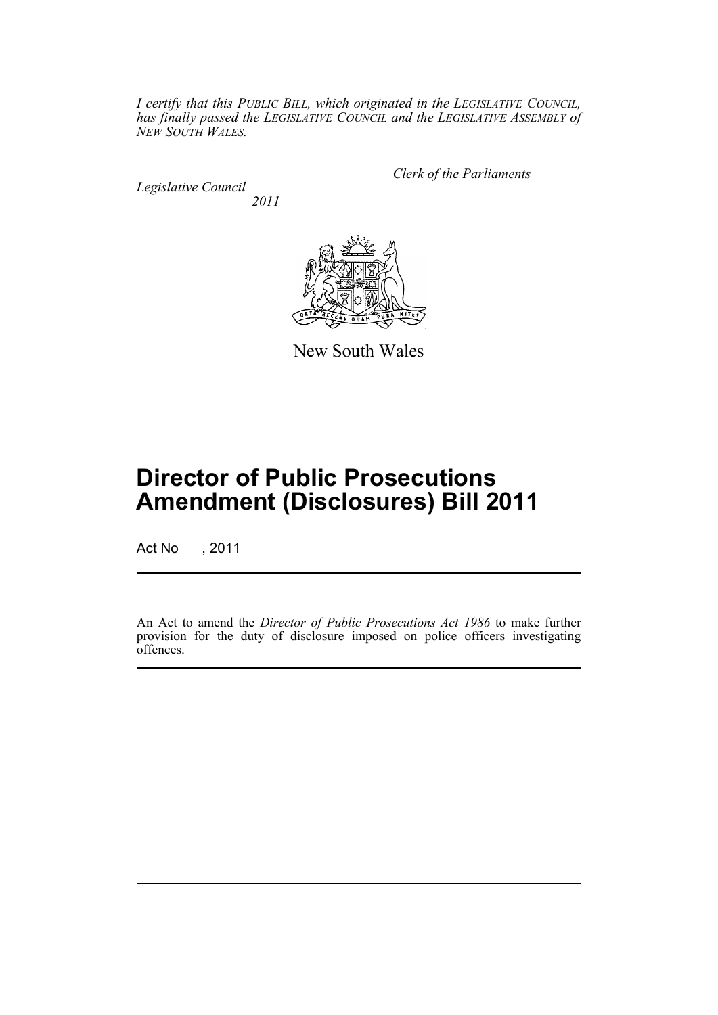*I certify that this PUBLIC BILL, which originated in the LEGISLATIVE COUNCIL, has finally passed the LEGISLATIVE COUNCIL and the LEGISLATIVE ASSEMBLY of NEW SOUTH WALES.*

*Legislative Council 2011* *Clerk of the Parliaments*



New South Wales

# **Director of Public Prosecutions Amendment (Disclosures) Bill 2011**

Act No , 2011

An Act to amend the *Director of Public Prosecutions Act 1986* to make further provision for the duty of disclosure imposed on police officers investigating offences.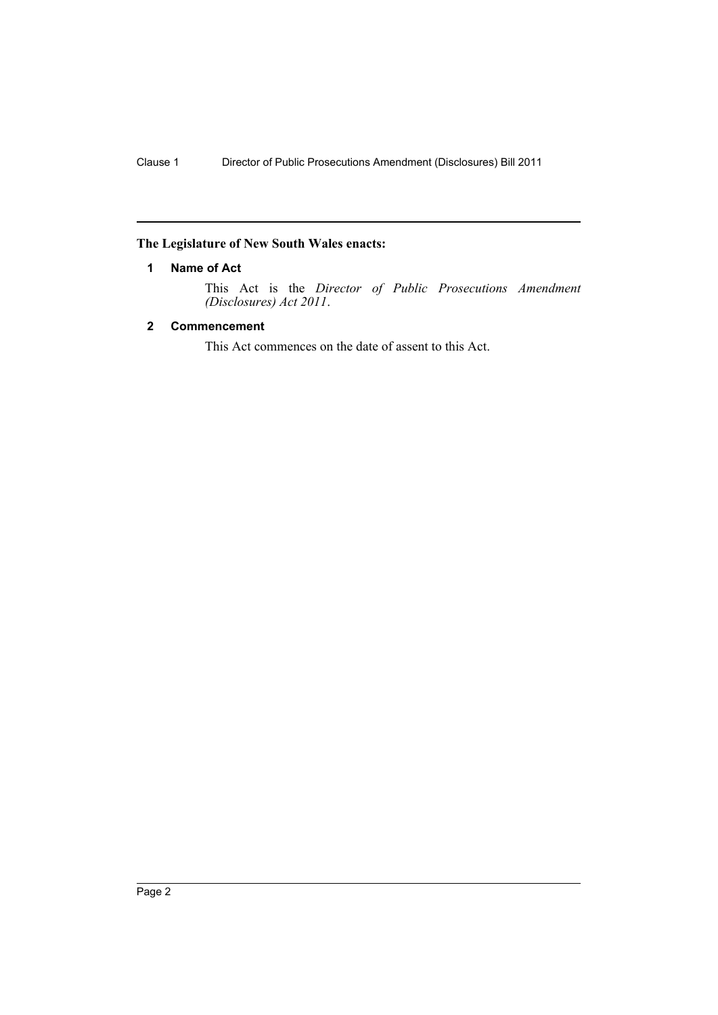### <span id="page-3-0"></span>**The Legislature of New South Wales enacts:**

#### **1 Name of Act**

This Act is the *Director of Public Prosecutions Amendment (Disclosures) Act 2011*.

#### <span id="page-3-1"></span>**2 Commencement**

This Act commences on the date of assent to this Act.